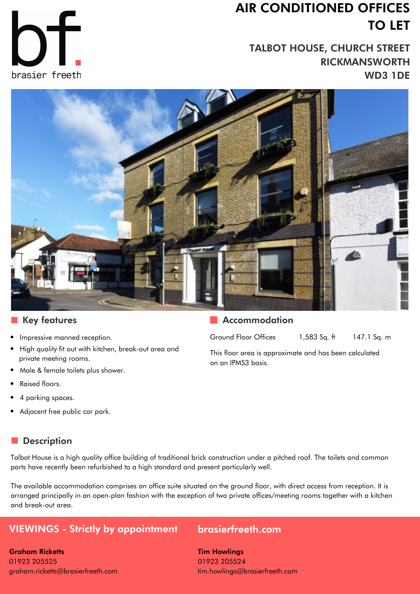## **AIR CONDITIONED OFFICES TO LET**

**TALBOT HOUSE, CHURCH STREET RICKMANSWORTH WD3 1DE**





#### **Key features**

- Impressive manned reception.
- High quality fit out with kitchen, break-out area and private meeting rooms.
- Male & female toilets plus shower.
- Raised floors.
- 4 parking spaces.
- Adjacent free public car park.

#### **Description**

Talbot House is a high quality office building of traditional brick construction under a pitched roof. The toilets and common parts have recently been refurbished to a high standard and present particularly well.

The available accommodation comprises an office suite situated on the ground floor, with direct access from reception. It is arranged principally in an open-plan fashion with the exception of two private offices/meeting rooms together with a kitchen and break-out area.

### **VIEWINGS - Strictly by appointment [brasierfreeth.com](http://www.brasierfreeth.com/)**

**Graham Ricketts** 01923 205525 graham.ricketts@brasierfreeth.com **Tim Howlings** 01923 205524 tim.howlings@brasierfreeth.com

#### **Accommodation**

Ground Floor Offices 1,583 Sq. ft 147.1 Sq. m

This floor area is approximate and has been calculated on an IPMS3 basis.